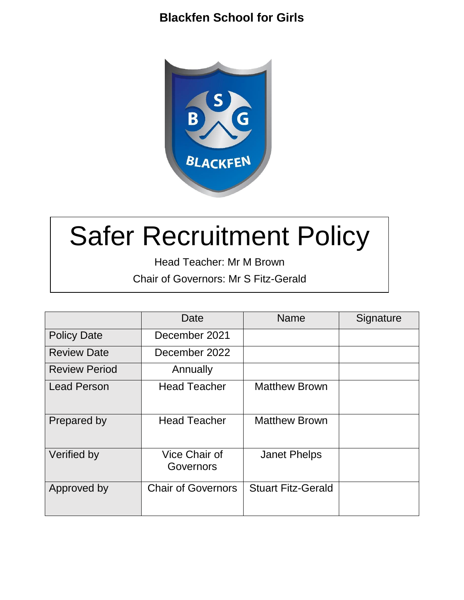

# Safer Recruitment Policy

Head Teacher: Mr M Brown Chair of Governors: Mr S Fitz-Gerald

|                      | Date                       | Name                      | Signature |
|----------------------|----------------------------|---------------------------|-----------|
| <b>Policy Date</b>   | December 2021              |                           |           |
| <b>Review Date</b>   | December 2022              |                           |           |
| <b>Review Period</b> | Annually                   |                           |           |
| <b>Lead Person</b>   | <b>Head Teacher</b>        | <b>Matthew Brown</b>      |           |
| Prepared by          | <b>Head Teacher</b>        | <b>Matthew Brown</b>      |           |
| Verified by          | Vice Chair of<br>Governors | <b>Janet Phelps</b>       |           |
| Approved by          | <b>Chair of Governors</b>  | <b>Stuart Fitz-Gerald</b> |           |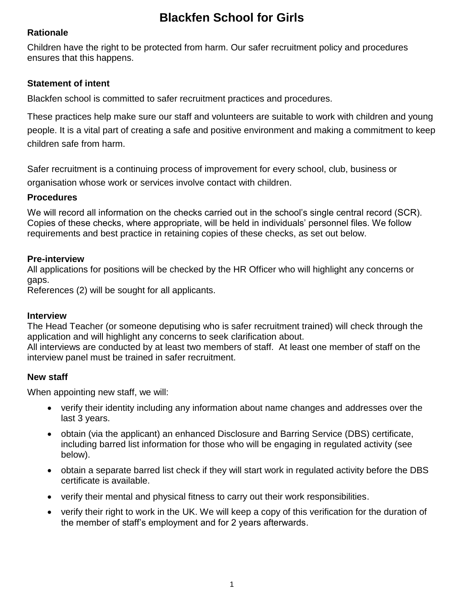## **Rationale**

Children have the right to be protected from harm. Our safer recruitment policy and procedures ensures that this happens.

## **Statement of intent**

Blackfen school is committed to safer recruitment practices and procedures.

These practices help make sure our staff and volunteers are suitable to work with children and young people. It is a vital part of creating a safe and positive environment and making a commitment to keep children safe from harm.

Safer recruitment is a continuing process of improvement for every school, club, business or organisation whose work or services involve contact with children.

## **Procedures**

We will record all information on the checks carried out in the school's single central record (SCR). Copies of these checks, where appropriate, will be held in individuals' personnel files. We follow requirements and best practice in retaining copies of these checks, as set out below.

## **Pre-interview**

All applications for positions will be checked by the HR Officer who will highlight any concerns or gaps.

References (2) will be sought for all applicants.

## **Interview**

The Head Teacher (or someone deputising who is safer recruitment trained) will check through the application and will highlight any concerns to seek clarification about.

All interviews are conducted by at least two members of staff. At least one member of staff on the interview panel must be trained in safer recruitment.

# **New staff**

When appointing new staff, we will:

- verify their identity including any information about name changes and addresses over the last 3 years.
- obtain (via the applicant) an enhanced Disclosure and Barring Service (DBS) certificate, including barred list information for those who will be engaging in regulated activity (see below).
- obtain a separate barred list check if they will start work in regulated activity before the DBS certificate is available.
- verify their mental and physical fitness to carry out their work responsibilities.
- verify their right to work in the UK. We will keep a copy of this verification for the duration of the member of staff's employment and for 2 years afterwards.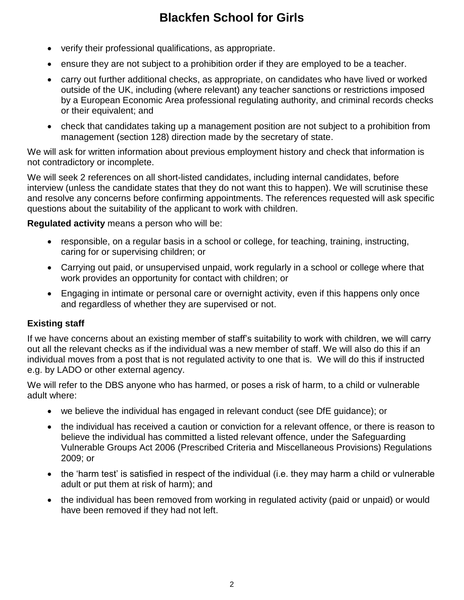- verify their professional qualifications, as appropriate.
- ensure they are not subject to a prohibition order if they are employed to be a teacher.
- carry out further additional checks, as appropriate, on candidates who have lived or worked outside of the UK, including (where relevant) any teacher sanctions or restrictions imposed by a European Economic Area professional regulating authority, and criminal records checks or their equivalent; and
- check that candidates taking up a management position are not subject to a prohibition from management (section 128) direction made by the secretary of state.

We will ask for written information about previous employment history and check that information is not contradictory or incomplete.

We will seek 2 references on all short-listed candidates, including internal candidates, before interview (unless the candidate states that they do not want this to happen). We will scrutinise these and resolve any concerns before confirming appointments. The references requested will ask specific questions about the suitability of the applicant to work with children.

**Regulated activity** means a person who will be:

- responsible, on a regular basis in a school or college, for teaching, training, instructing, caring for or supervising children; or
- Carrying out paid, or unsupervised unpaid, work regularly in a school or college where that work provides an opportunity for contact with children; or
- Engaging in intimate or personal care or overnight activity, even if this happens only once and regardless of whether they are supervised or not.

## **Existing staff**

If we have concerns about an existing member of staff's suitability to work with children, we will carry out all the relevant checks as if the individual was a new member of staff. We will also do this if an individual moves from a post that is not regulated activity to one that is. We will do this if instructed e.g. by LADO or other external agency.

We will refer to the DBS anyone who has harmed, or poses a risk of harm, to a child or vulnerable adult where:

- we believe the individual has engaged in relevant conduct (see DfE guidance); or
- the individual has received a caution or conviction for a relevant offence, or there is reason to believe the individual has committed a listed relevant offence, under the [Safeguarding](http://www.legislation.gov.uk/uksi/2009/37/contents/made) [Vulnerable Groups Act 2006 \(Prescribed Criteria and Miscellaneous Provisions\) Regulations](http://www.legislation.gov.uk/uksi/2009/37/contents/made)  [2009;](http://www.legislation.gov.uk/uksi/2009/37/contents/made) or
- the 'harm test' is satisfied in respect of the individual (i.e. they may harm a child or vulnerable adult or put them at risk of harm); and
- the individual has been removed from working in regulated activity (paid or unpaid) or would have been removed if they had not left.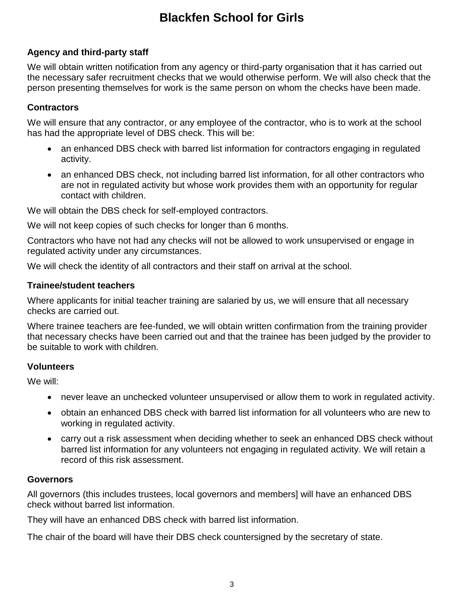# **Agency and third-party staff**

We will obtain written notification from any agency or third-party organisation that it has carried out the necessary safer recruitment checks that we would otherwise perform. We will also check that the person presenting themselves for work is the same person on whom the checks have been made.

## **Contractors**

We will ensure that any contractor, or any employee of the contractor, who is to work at the school has had the appropriate level of DBS check. This will be:

- an enhanced DBS check with barred list information for contractors engaging in regulated activity.
- an enhanced DBS check, not including barred list information, for all other contractors who are not in regulated activity but whose work provides them with an opportunity for regular contact with children.

We will obtain the DBS check for self-employed contractors.

We will not keep copies of such checks for longer than 6 months.

Contractors who have not had any checks will not be allowed to work unsupervised or engage in regulated activity under any circumstances.

We will check the identity of all contractors and their staff on arrival at the school.

## **Trainee/student teachers**

Where applicants for initial teacher training are salaried by us, we will ensure that all necessary checks are carried out.

Where trainee teachers are fee-funded, we will obtain written confirmation from the training provider that necessary checks have been carried out and that the trainee has been judged by the provider to be suitable to work with children.

## **Volunteers**

We will:

- never leave an unchecked volunteer unsupervised or allow them to work in regulated activity.
- obtain an enhanced DBS check with barred list information for all volunteers who are new to working in regulated activity.
- carry out a risk assessment when deciding whether to seek an enhanced DBS check without barred list information for any volunteers not engaging in regulated activity. We will retain a record of this risk assessment.

## **Governors**

All governors (this includes trustees, local governors and members] will have an enhanced DBS check without barred list information.

They will have an enhanced DBS check with barred list information.

The chair of the board will have their DBS check countersigned by the secretary of state.